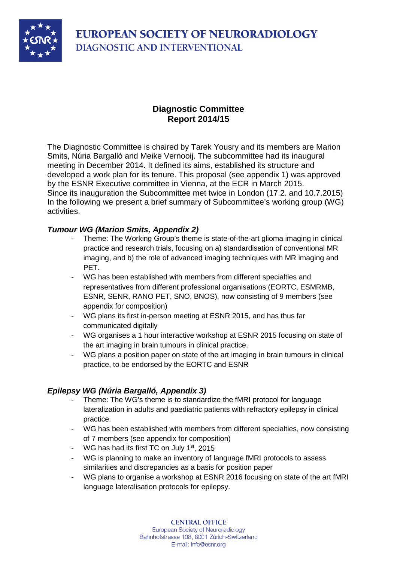

## **Diagnostic Committee Report 2014/15**

The Diagnostic Committee is chaired by Tarek Yousry and its members are Marion Smits, Núria Bargalló and Meike Vernooij. The subcommittee had its inaugural meeting in December 2014. It defined its aims, established its structure and developed a work plan for its tenure. This proposal (see appendix 1) was approved by the ESNR Executive committee in Vienna, at the ECR in March 2015. Since its inauguration the Subcommittee met twice in London (17.2. and 10.7.2015) In the following we present a brief summary of Subcommittee's working group (WG) activities.

### *Tumour WG (Marion Smits, Appendix 2)*

- Theme: The Working Group's theme is state-of-the-art glioma imaging in clinical practice and research trials, focusing on a) standardisation of conventional MR imaging, and b) the role of advanced imaging techniques with MR imaging and PET.
- WG has been established with members from different specialties and representatives from different professional organisations (EORTC, ESMRMB, ESNR, SENR, RANO PET, SNO, BNOS), now consisting of 9 members (see appendix for composition)
- WG plans its first in-person meeting at ESNR 2015, and has thus far communicated digitally
- WG organises a 1 hour interactive workshop at ESNR 2015 focusing on state of the art imaging in brain tumours in clinical practice.
- WG plans a position paper on state of the art imaging in brain tumours in clinical practice, to be endorsed by the EORTC and ESNR

### *Epilepsy WG (Núria Bargalló, Appendix 3)*

- Theme: The WG's theme is to standardize the fMRI protocol for language lateralization in adults and paediatric patients with refractory epilepsy in clinical practice.
- WG has been established with members from different specialties, now consisting of 7 members (see appendix for composition)
- WG has had its first TC on July 1<sup>st</sup>, 2015
- WG is planning to make an inventory of language fMRI protocols to assess similarities and discrepancies as a basis for position paper
- WG plans to organise a workshop at ESNR 2016 focusing on state of the art fMRI language lateralisation protocols for epilepsy.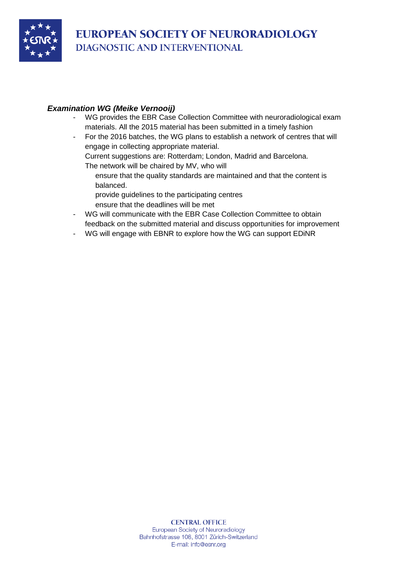

### *Examination WG (Meike Vernooij)*

- WG provides the EBR Case Collection Committee with neuroradiological exam materials. All the 2015 material has been submitted in a timely fashion
- For the 2016 batches, the WG plans to establish a network of centres that will engage in collecting appropriate material.

Current suggestions are: Rotterdam; London, Madrid and Barcelona.

- The network will be chaired by MV, who will
	- ensure that the quality standards are maintained and that the content is balanced.
	- provide guidelines to the participating centres
	- ensure that the deadlines will be met
- WG will communicate with the EBR Case Collection Committee to obtain feedback on the submitted material and discuss opportunities for improvement
- WG will engage with EBNR to explore how the WG can support EDiNR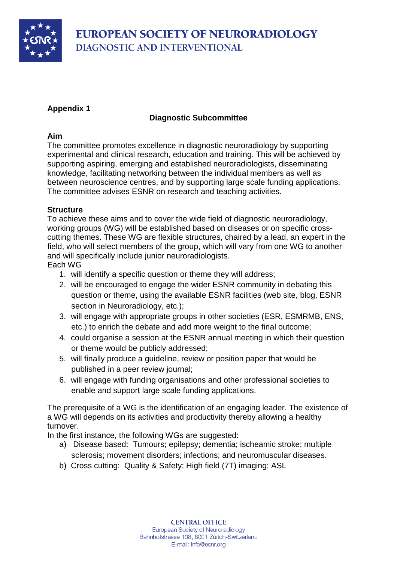

## **Appendix 1**

### **Diagnostic Subcommittee**

### **Aim**

The committee promotes excellence in diagnostic neuroradiology by supporting experimental and clinical research, education and training. This will be achieved by supporting aspiring, emerging and established neuroradiologists, disseminating knowledge, facilitating networking between the individual members as well as between neuroscience centres, and by supporting large scale funding applications. The committee advises ESNR on research and teaching activities.

### **Structure**

To achieve these aims and to cover the wide field of diagnostic neuroradiology, working groups (WG) will be established based on diseases or on specific crosscutting themes. These WG are flexible structures, chaired by a lead, an expert in the field, who will select members of the group, which will vary from one WG to another and will specifically include junior neuroradiologists.

#### Each WG

- 1. will identify a specific question or theme they will address;
- 2. will be encouraged to engage the wider ESNR community in debating this question or theme, using the available ESNR facilities (web site, blog, ESNR section in Neuroradiology, etc.);
- 3. will engage with appropriate groups in other societies (ESR, ESMRMB, ENS, etc.) to enrich the debate and add more weight to the final outcome;
- 4. could organise a session at the ESNR annual meeting in which their question or theme would be publicly addressed;
- 5. will finally produce a guideline, review or position paper that would be published in a peer review journal;
- 6. will engage with funding organisations and other professional societies to enable and support large scale funding applications.

The prerequisite of a WG is the identification of an engaging leader. The existence of a WG will depends on its activities and productivity thereby allowing a healthy turnover.

In the first instance, the following WGs are suggested:

- a) Disease based: Tumours; epilepsy; dementia; ischeamic stroke; multiple sclerosis; movement disorders; infections; and neuromuscular diseases.
- b) Cross cutting: Quality & Safety; High field (7T) imaging; ASL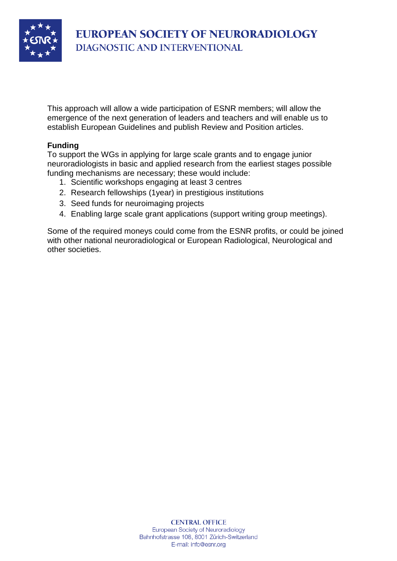

This approach will allow a wide participation of ESNR members; will allow the emergence of the next generation of leaders and teachers and will enable us to establish European Guidelines and publish Review and Position articles.

### **Funding**

To support the WGs in applying for large scale grants and to engage junior neuroradiologists in basic and applied research from the earliest stages possible funding mechanisms are necessary; these would include:

- 1. Scientific workshops engaging at least 3 centres
- 2. Research fellowships (1year) in prestigious institutions
- 3. Seed funds for neuroimaging projects
- 4. Enabling large scale grant applications (support writing group meetings).

Some of the required moneys could come from the ESNR profits, or could be joined with other national neuroradiological or European Radiological, Neurological and other societies.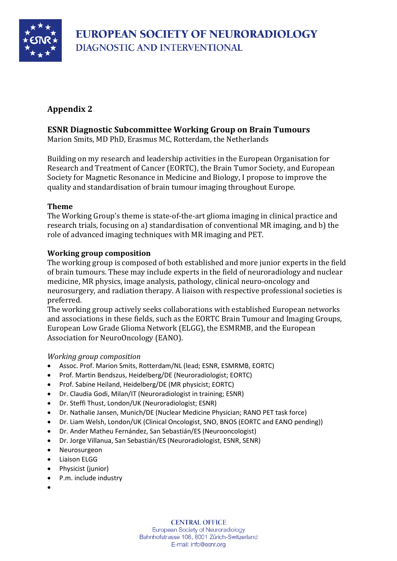

# **Appendix 2**

## **ESNR Diagnostic Subcommittee Working Group on Brain Tumours**

Marion Smits, MD PhD, Erasmus MC, Rotterdam, the Netherlands

Building on my research and leadership activities in the European Organisation for Research and Treatment of Cancer (EORTC), the Brain Tumor Society, and European Society for Magnetic Resonance in Medicine and Biology, I propose to improve the quality and standardisation of brain tumour imaging throughout Europe.

### **Theme**

The Working Group's theme is state-of-the-art glioma imaging in clinical practice and research trials, focusing on a) standardisation of conventional MR imaging, and b) the role of advanced imaging techniques with MR imaging and PET.

#### **Working group composition**

The working group is composed of both established and more junior experts in the field of brain tumours. These may include experts in the field of neuroradiology and nuclear medicine, MR physics, image analysis, pathology, clinical neuro-oncology and neurosurgery, and radiation therapy. A liaison with respective professional societies is preferred.

The working group actively seeks collaborations with established European networks and associations in these fields, such as the EORTC Brain Tumour and Imaging Groups, European Low Grade Glioma Network (ELGG), the ESMRMB, and the European Association for NeuroOncology (EANO).

#### *Working group composition*

- Assoc. Prof. Marion Smits, Rotterdam/NL (lead; ESNR, ESMRMB, EORTC)
- Prof. Martin Bendszus, Heidelberg/DE (Neuroradiologist; EORTC)
- Prof. Sabine Heiland, Heidelberg/DE (MR physicist; EORTC)
- Dr. Claudia Godi, Milan/IT (Neuroradiologist in training; ESNR)
- Dr. Steffi Thust, London/UK (Neuroradiologist; ESNR)
- Dr. Nathalie Jansen, Munich/DE (Nuclear Medicine Physician; RANO PET task force)
- Dr. Liam Welsh, London/UK (Clinical Oncologist, SNO, BNOS (EORTC and EANO pending))
- Dr. Ander Matheu Fernández, San Sebastián/ES (Neurooncologist)
- Dr. Jorge Villanua, San Sebastián/ES (Neuroradiologist, ESNR, SENR)
- Neurosurgeon
- Liaison ELGG
- Physicist (junior)
- P.m. include industry
- •

**CENTRAL OFFICE** European Society of Neuroradiology Bahnhofstrasse 108, 8001 Zürich-Switzerland E-mail: info@esnr.org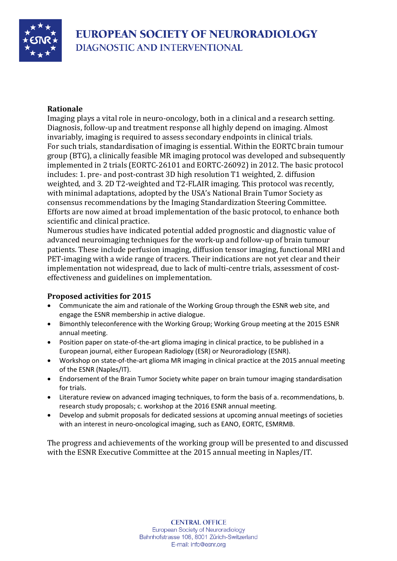

#### **Rationale**

Imaging plays a vital role in neuro-oncology, both in a clinical and a research setting. Diagnosis, follow-up and treatment response all highly depend on imaging. Almost invariably, imaging is required to assess secondary endpoints in clinical trials. For such trials, standardisation of imaging is essential. Within the EORTC brain tumour group (BTG), a clinically feasible MR imaging protocol was developed and subsequently implemented in 2 trials (EORTC-26101 and EORTC-26092) in 2012. The basic protocol includes: 1. pre- and post-contrast 3D high resolution T1 weighted, 2. diffusion weighted, and 3. 2D T2-weighted and T2-FLAIR imaging. This protocol was recently, with minimal adaptations, adopted by the USA's National Brain Tumor Society as consensus recommendations by the Imaging Standardization Steering Committee. Efforts are now aimed at broad implementation of the basic protocol, to enhance both scientific and clinical practice.

Numerous studies have indicated potential added prognostic and diagnostic value of advanced neuroimaging techniques for the work-up and follow-up of brain tumour patients. These include perfusion imaging, diffusion tensor imaging, functional MRI and PET-imaging with a wide range of tracers. Their indications are not yet clear and their implementation not widespread, due to lack of multi-centre trials, assessment of costeffectiveness and guidelines on implementation.

### **Proposed activities for 2015**

- Communicate the aim and rationale of the Working Group through the ESNR web site, and engage the ESNR membership in active dialogue.
- Bimonthly teleconference with the Working Group; Working Group meeting at the 2015 ESNR annual meeting.
- Position paper on state-of-the-art glioma imaging in clinical practice, to be published in a European journal, either European Radiology (ESR) or Neuroradiology (ESNR).
- Workshop on state-of-the-art glioma MR imaging in clinical practice at the 2015 annual meeting of the ESNR (Naples/IT).
- Endorsement of the Brain Tumor Society white paper on brain tumour imaging standardisation for trials.
- Literature review on advanced imaging techniques, to form the basis of a. recommendations, b. research study proposals; c. workshop at the 2016 ESNR annual meeting.
- Develop and submit proposals for dedicated sessions at upcoming annual meetings of societies with an interest in neuro-oncological imaging, such as EANO, EORTC, ESMRMB.

The progress and achievements of the working group will be presented to and discussed with the ESNR Executive Committee at the 2015 annual meeting in Naples/IT.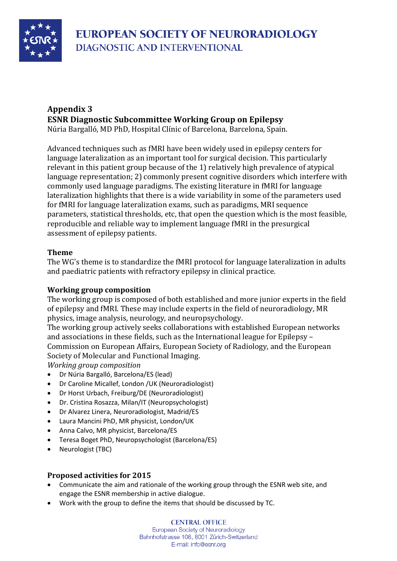

# **Appendix 3 ESNR Diagnostic Subcommittee Working Group on Epilepsy**

Núria Bargalló, MD PhD, Hospital Clínic of Barcelona, Barcelona, Spain.

Advanced techniques such as fMRI have been widely used in epilepsy centers for language lateralization as an important tool for surgical decision. This particularly relevant in this patient group because of the 1) relatively high prevalence of atypical language representation; 2) commonly present cognitive disorders which interfere with commonly used language paradigms. The existing literature in fMRI for language lateralization highlights that there is a wide variability in some of the parameters used for fMRI for language lateralization exams, such as paradigms, MRI sequence parameters, statistical thresholds, etc, that open the question which is the most feasible, reproducible and reliable way to implement language fMRI in the presurgical assessment of epilepsy patients.

### **Theme**

The WG's theme is to standardize the fMRI protocol for language lateralization in adults and paediatric patients with refractory epilepsy in clinical practice.

### **Working group composition**

The working group is composed of both established and more junior experts in the field of epilepsy and fMRI. These may include experts in the field of neuroradiology, MR physics, image analysis, neurology, and neuropsychology.

The working group actively seeks collaborations with established European networks and associations in these fields, such as the International league for Epilepsy – Commission on European Affairs, European Society of Radiology, and the European Society of Molecular and Functional Imaging.

*Working group composition*

- Dr Núria Bargalló, Barcelona/ES (lead)
- Dr Caroline Micallef, London /UK (Neuroradiologist)
- Dr Horst Urbach, Freiburg/DE (Neuroradiologist)
- Dr. Cristina Rosazza, Milan/IT (Neuropsychologist)
- Dr Alvarez Linera, Neuroradiologist, Madrid/ES
- Laura Mancini PhD, MR physicist, London/UK
- Anna Calvo, MR physicist, Barcelona/ES
- Teresa Boget PhD, Neuropsychologist (Barcelona/ES)
- Neurologist (TBC)

### **Proposed activities for 2015**

- Communicate the aim and rationale of the working group through the ESNR web site, and engage the ESNR membership in active dialogue.
- Work with the group to define the items that should be discussed by TC.

**CENTRAL OFFICE** European Society of Neuroradiology Bahnhofstrasse 108, 8001 Zürich-Switzerland E-mail: info@esnr.org